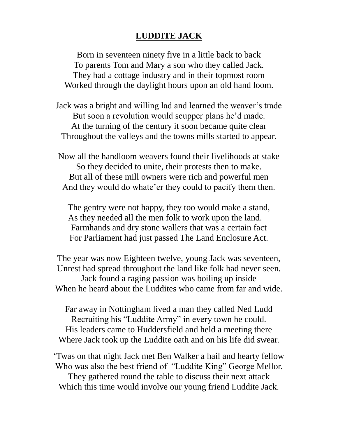## **LUDDITE JACK**

Born in seventeen ninety five in a little back to back To parents Tom and Mary a son who they called Jack. They had a cottage industry and in their topmost room Worked through the daylight hours upon an old hand loom.

Jack was a bright and willing lad and learned the weaver's trade But soon a revolution would scupper plans he'd made. At the turning of the century it soon became quite clear Throughout the valleys and the towns mills started to appear.

Now all the handloom weavers found their livelihoods at stake So they decided to unite, their protests then to make. But all of these mill owners were rich and powerful men And they would do whate'er they could to pacify them then.

The gentry were not happy, they too would make a stand, As they needed all the men folk to work upon the land. Farmhands and dry stone wallers that was a certain fact For Parliament had just passed The Land Enclosure Act.

The year was now Eighteen twelve, young Jack was seventeen, Unrest had spread throughout the land like folk had never seen. Jack found a raging passion was boiling up inside When he heard about the Luddites who came from far and wide.

Far away in Nottingham lived a man they called Ned Ludd Recruiting his "Luddite Army" in every town he could. His leaders came to Huddersfield and held a meeting there Where Jack took up the Luddite oath and on his life did swear.

'Twas on that night Jack met Ben Walker a hail and hearty fellow Who was also the best friend of "Luddite King" George Mellor. They gathered round the table to discuss their next attack Which this time would involve our young friend Luddite Jack.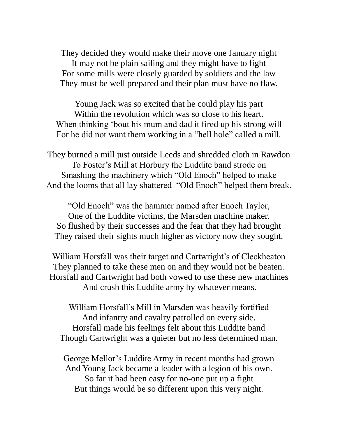They decided they would make their move one January night It may not be plain sailing and they might have to fight For some mills were closely guarded by soldiers and the law They must be well prepared and their plan must have no flaw.

Young Jack was so excited that he could play his part Within the revolution which was so close to his heart. When thinking 'bout his mum and dad it fired up his strong will For he did not want them working in a "hell hole" called a mill.

They burned a mill just outside Leeds and shredded cloth in Rawdon To Foster's Mill at Horbury the Luddite band strode on Smashing the machinery which "Old Enoch" helped to make And the looms that all lay shattered "Old Enoch" helped them break.

"Old Enoch" was the hammer named after Enoch Taylor, One of the Luddite victims, the Marsden machine maker. So flushed by their successes and the fear that they had brought They raised their sights much higher as victory now they sought.

William Horsfall was their target and Cartwright's of Cleckheaton They planned to take these men on and they would not be beaten. Horsfall and Cartwright had both vowed to use these new machines And crush this Luddite army by whatever means.

William Horsfall's Mill in Marsden was heavily fortified And infantry and cavalry patrolled on every side. Horsfall made his feelings felt about this Luddite band Though Cartwright was a quieter but no less determined man.

George Mellor's Luddite Army in recent months had grown And Young Jack became a leader with a legion of his own. So far it had been easy for no-one put up a fight But things would be so different upon this very night.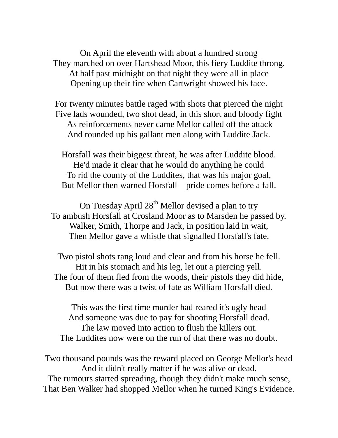On April the eleventh with about a hundred strong They marched on over Hartshead Moor, this fiery Luddite throng. At half past midnight on that night they were all in place Opening up their fire when Cartwright showed his face.

For twenty minutes battle raged with shots that pierced the night Five lads wounded, two shot dead, in this short and bloody fight As reinforcements never came Mellor called off the attack And rounded up his gallant men along with Luddite Jack.

Horsfall was their biggest threat, he was after Luddite blood. He'd made it clear that he would do anything he could To rid the county of the Luddites, that was his major goal, But Mellor then warned Horsfall – pride comes before a fall.

On Tuesday April 28<sup>th</sup> Mellor devised a plan to try To ambush Horsfall at Crosland Moor as to Marsden he passed by. Walker, Smith, Thorpe and Jack, in position laid in wait, Then Mellor gave a whistle that signalled Horsfall's fate.

Two pistol shots rang loud and clear and from his horse he fell. Hit in his stomach and his leg, let out a piercing yell. The four of them fled from the woods, their pistols they did hide, But now there was a twist of fate as William Horsfall died.

This was the first time murder had reared it's ugly head And someone was due to pay for shooting Horsfall dead. The law moved into action to flush the killers out. The Luddites now were on the run of that there was no doubt.

Two thousand pounds was the reward placed on George Mellor's head And it didn't really matter if he was alive or dead. The rumours started spreading, though they didn't make much sense, That Ben Walker had shopped Mellor when he turned King's Evidence.